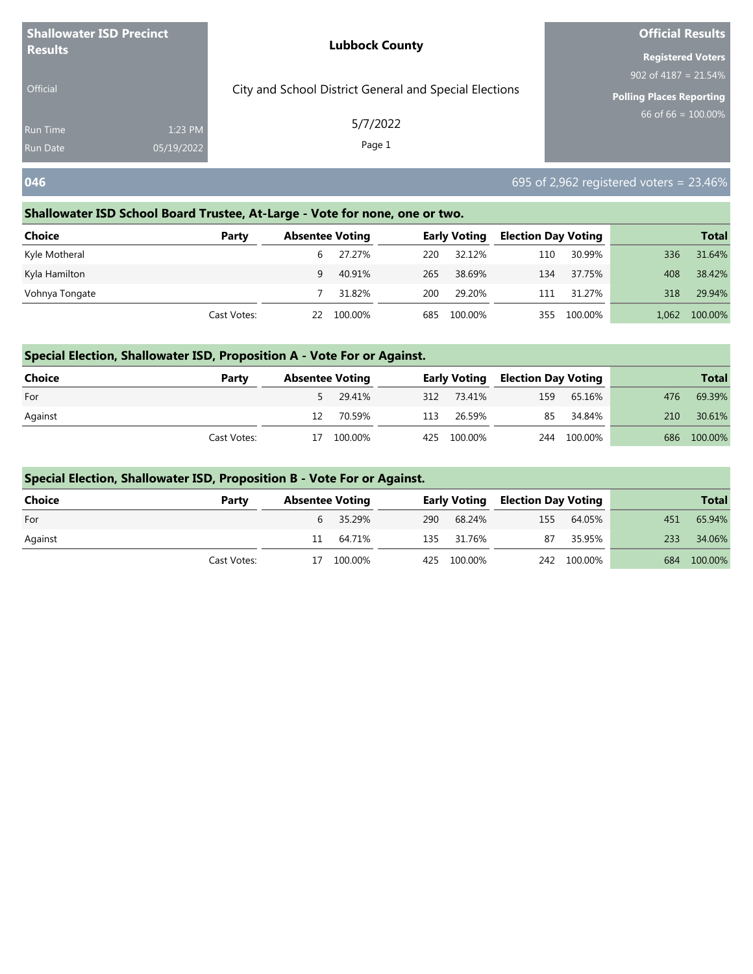| <b>Shallowater ISD Precinct</b> |            | <b>Lubbock County</b>                                  | <b>Official Results</b>                                    |
|---------------------------------|------------|--------------------------------------------------------|------------------------------------------------------------|
| <b>Results</b>                  |            |                                                        | <b>Registered Voters</b>                                   |
| <b>Official</b>                 |            | City and School District General and Special Elections | 902 of 4187 = $21.54\%$<br><b>Polling Places Reporting</b> |
| Run Time                        | 1:23 PM    | 5/7/2022                                               | $66$ of 66 = $100.00\%$                                    |
| <b>Run Date</b>                 | 05/19/2022 | Page 1                                                 |                                                            |
| 046                             |            |                                                        | $695$ of 2,962 registered voters = 23.46%                  |

## **Shallowater ISD School Board Trustee, At-Large - Vote for none, one or two.**

| <b>Choice</b>  | Party       | <b>Absentee Voting</b> |         |     | <b>Early Voting</b> | <b>Election Day Voting</b> |         |       | <b>Total</b> |
|----------------|-------------|------------------------|---------|-----|---------------------|----------------------------|---------|-------|--------------|
| Kyle Motheral  |             | b                      | 27.27%  | 220 | 32.12%              | 110                        | 30.99%  | 336   | 31.64%       |
| Kyla Hamilton  |             | 9                      | 40.91%  | 265 | 38.69%              | 134                        | 37.75%  | 408   | 38.42%       |
| Vohnya Tongate |             |                        | 31.82%  | 200 | 29.20%              | 111                        | 31.27%  | 318   | 29.94%       |
|                | Cast Votes: | 22.                    | 100.00% | 685 | 100.00%             | 355                        | 100.00% | 1.062 | 100.00%      |

## **Special Election, Shallowater ISD, Proposition A - Vote For or Against.**

| Choice  | Party       | <b>Absentee Voting</b> |            |             | <b>Early Voting Election Day Voting</b> |             |     | <b>Total</b> |
|---------|-------------|------------------------|------------|-------------|-----------------------------------------|-------------|-----|--------------|
| For     |             |                        | 5 29.41%   | 312 73.41%  | 159                                     | 65.16%      | 476 | 69.39%       |
| Against |             |                        | 70.59%     | 113 26.59%  |                                         | 85 34.84%   | 210 | 30.61%       |
|         | Cast Votes: |                        | 17 100.00% | 425 100.00% |                                         | 244 100.00% | 686 | 100.00%      |

## **Special Election, Shallowater ISD, Proposition B - Vote For or Against.**

| Choice  | Party       | <b>Absentee Voting</b> |             | <b>Early Voting Election Day Voting</b> |             |     | <b>Total</b> |
|---------|-------------|------------------------|-------------|-----------------------------------------|-------------|-----|--------------|
| For     |             | 6 35.29%               | 290 68.24%  |                                         | 155 64.05%  | 451 | 65.94%       |
| Against |             | 11 64.71%              | 135 31.76%  | 87                                      | 35.95%      | 233 | 34.06%       |
|         | Cast Votes: | 17 100.00%             | 425 100.00% |                                         | 242 100.00% |     | 684 100.00%  |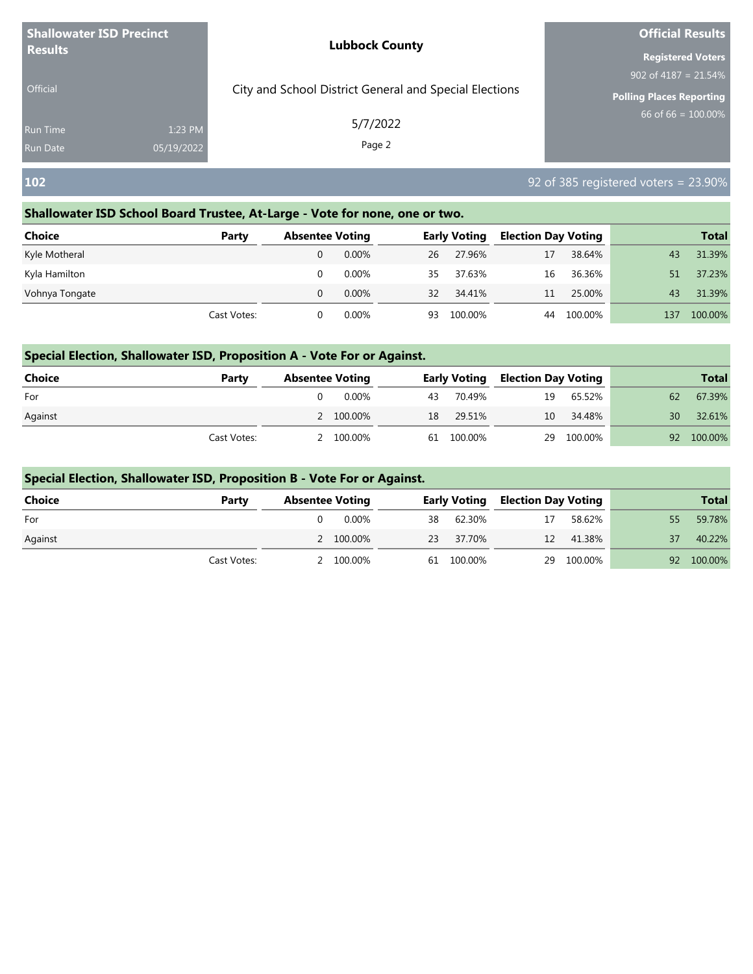| <b>Shallowater ISD Precinct</b> |            | <b>Lubbock County</b>                                  | <b>Official Results</b>         |
|---------------------------------|------------|--------------------------------------------------------|---------------------------------|
| <b>Results</b>                  |            |                                                        | <b>Registered Voters</b>        |
|                                 |            |                                                        | 902 of 4187 = $21.54\%$         |
| <b>Official</b>                 |            | City and School District General and Special Elections | <b>Polling Places Reporting</b> |
| Run Time                        | 1:23 PM    | 5/7/2022                                               | 66 of $66 = 100.00\%$           |
| <b>Run Date</b>                 | 05/19/2022 | Page 2                                                 |                                 |

# **102** 92 of 385 registered voters = 23.90%

## **Shallowater ISD School Board Trustee, At-Large - Vote for none, one or two.**

| <b>Choice</b>  | Party       | <b>Absentee Voting</b> |          |    | <b>Early Voting</b> | <b>Election Day Voting</b> |         |     | <b>Total</b> |
|----------------|-------------|------------------------|----------|----|---------------------|----------------------------|---------|-----|--------------|
| Kyle Motheral  |             |                        | 0.00%    | 26 | 27.96%              | 17                         | 38.64%  | 43  | 31.39%       |
| Kyla Hamilton  |             |                        | $0.00\%$ | 35 | 37.63%              | 16                         | 36.36%  | 51  | 37.23%       |
| Vohnya Tongate |             |                        | $0.00\%$ | 32 | 34.41%              | 11                         | 25.00%  | 43  | 31.39%       |
|                | Cast Votes: |                        | 0.00%    | 93 | 100.00%             | 44                         | 100.00% | 137 | 100.00%      |

## **Special Election, Shallowater ISD, Proposition A - Vote For or Against.**

| Choice  | Party       | <b>Absentee Voting</b> |           |            | <b>Early Voting Election Day Voting</b> |            |    | <b>Total</b> |
|---------|-------------|------------------------|-----------|------------|-----------------------------------------|------------|----|--------------|
| For     |             |                        | 0.00%     | 43 70.49%  | 19                                      | 65.52%     | 62 | 67.39%       |
| Against |             |                        | 2 100.00% | 18 29.51%  | 10                                      | 34.48%     | 30 | 32.61%       |
|         | Cast Votes: |                        | 2 100.00% | 61 100.00% |                                         | 29 100.00% |    | 92 100.00%   |

## **Special Election, Shallowater ISD, Proposition B - Vote For or Against.**

| Choice  | Party       | <b>Absentee Voting</b> |           | <b>Early Voting</b> | , Election Day Voting |            |    | <b>Total</b> |
|---------|-------------|------------------------|-----------|---------------------|-----------------------|------------|----|--------------|
| For     |             |                        | $0.00\%$  | 38 62.30%           | 17                    | 58.62%     | 55 | 59.78%       |
| Against |             |                        | 2 100.00% | 23 37.70%           |                       | 12 41.38%  | 37 | 40.22%       |
|         | Cast Votes: |                        | 2 100.00% | 61 100.00%          |                       | 29 100.00% |    | 92 100.00%   |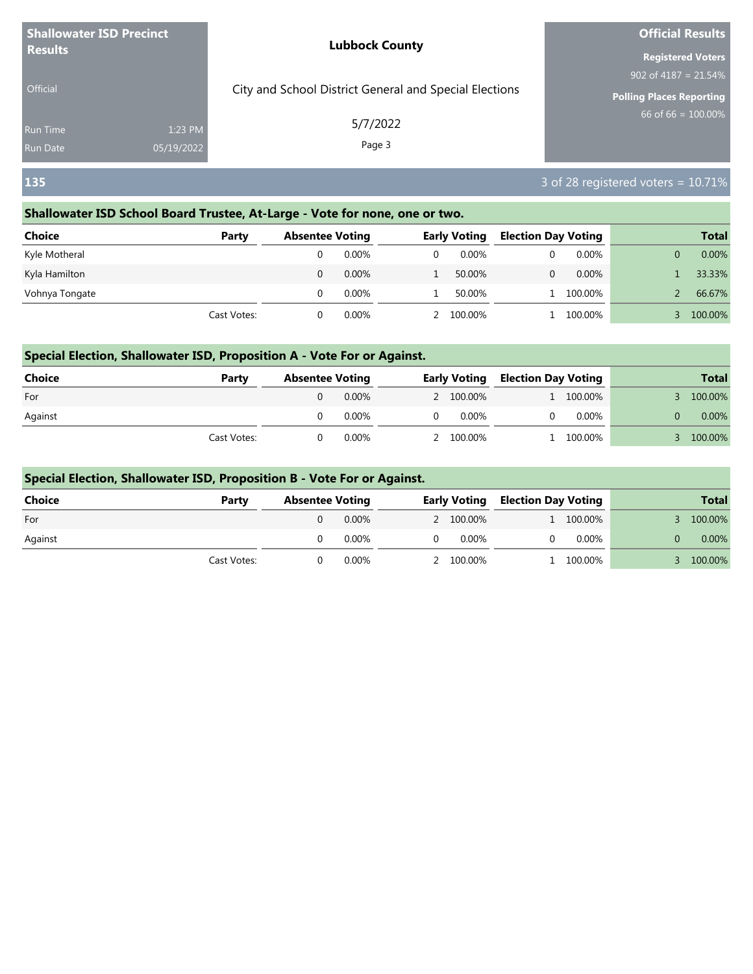| <b>Shallowater ISD Precinct</b> |            | <b>Lubbock County</b>                                  | <b>Official Results</b>         |
|---------------------------------|------------|--------------------------------------------------------|---------------------------------|
| <b>Results</b>                  |            |                                                        | <b>Registered Voters</b>        |
|                                 |            |                                                        | 902 of 4187 = $21.54\%$         |
| <b>Official</b>                 |            | City and School District General and Special Elections | <b>Polling Places Reporting</b> |
| Run Time                        | 1:23 PM    | 5/7/2022                                               | 66 of 66 = $100.00\%$           |
| Run Date                        | 05/19/2022 | Page 3                                                 |                                 |

# **135** 3 of 28 registered voters = 10.71%

## **Shallowater ISD School Board Trustee, At-Large - Vote for none, one or two.**

| <b>Choice</b>  | Party       | <b>Absentee Voting</b> |          | <b>Early Voting</b> | <b>Election Day Voting</b> |          | <b>Total</b> |
|----------------|-------------|------------------------|----------|---------------------|----------------------------|----------|--------------|
| Kyle Motheral  |             |                        | $0.00\%$ | $0.00\%$            |                            | $0.00\%$ | 0.00%        |
| Kyla Hamilton  |             |                        | 0.00%    | 50.00%              |                            | 0.00%    | 33.33%       |
| Vohnya Tongate |             |                        | $0.00\%$ | 50.00%              |                            | 100.00%  | 66.67%       |
|                | Cast Votes: |                        | $0.00\%$ | 2 100.00%           |                            | 100.00%  | 100.00%      |

## **Special Election, Shallowater ISD, Proposition A - Vote For or Against.**

| <b>Choice</b> | Party       | <b>Absentee Voting</b> |          |          |           | <b>Early Voting Election Day Voting</b> |           | <b>Total</b> |
|---------------|-------------|------------------------|----------|----------|-----------|-----------------------------------------|-----------|--------------|
| For           |             |                        | $0.00\%$ |          | 2 100.00% |                                         | 1 100.00% | 100.00%      |
| Against       |             |                        | $0.00\%$ | $\Omega$ | 0.00%     |                                         | $0.00\%$  | 0.00%        |
|               | Cast Votes: |                        | 0.00%    |          | 2 100.00% |                                         | 100.00%   | 100.00%      |

## **Special Election, Shallowater ISD, Proposition B - Vote For or Against.**

| <b>Choice</b> | Party       | <b>Absentee Voting</b> |          |           | <b>Early Voting Election Day Voting</b> |           | <b>Total</b> |
|---------------|-------------|------------------------|----------|-----------|-----------------------------------------|-----------|--------------|
| For           |             |                        | 0.00%    | 2 100.00% |                                         | 1 100.00% | 100.00%      |
| Against       |             |                        | $0.00\%$ | 0.00%     |                                         | 0.00%     | 0.00%        |
|               | Cast Votes: |                        | 0.00%    | 2 100.00% |                                         | 1 100.00% | 100.00%      |